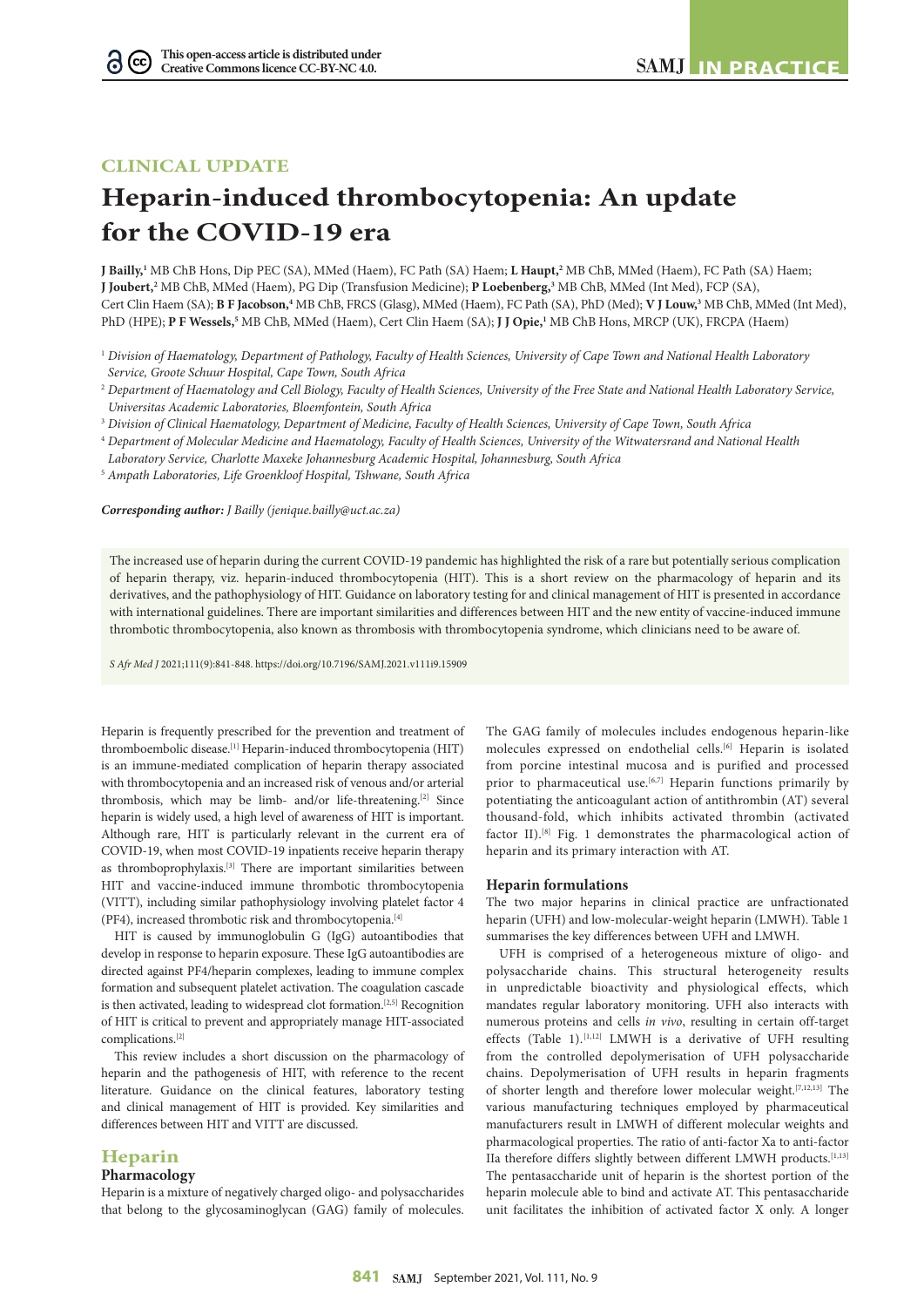# **CLINICAL UPDATE**

# **Heparin-induced thrombocytopenia: An update for the COVID-19 era**

**J Bailly,1** MB ChB Hons, Dip PEC (SA), MMed (Haem), FC Path (SA) Haem; **L Haupt,2** MB ChB, MMed (Haem), FC Path (SA) Haem; **J Joubert,**<sup>2</sup> MB ChB, MMed (Haem), PG Dip (Transfusion Medicine); **P Loebenberg,**<sup>3</sup> MB ChB, MMed (Int Med), FCP (SA), Cert Clin Haem (SA); **B F Jacobson**,<sup>4</sup> MB ChB, FRCS (Glasg), MMed (Haem), FC Path (SA), PhD (Med); **V J Louw**,<sup>3</sup> MB ChB, MMed (Int Med), PhD (HPE); **P F Wessels,5** MB ChB, MMed (Haem), Cert Clin Haem (SA); **J J Opie,1** MB ChB Hons, MRCP (UK), FRCPA (Haem)

- <sup>1</sup> *Division of Haematology, Department of Pathology, Faculty of Health Sciences, University of Cape Town and National Health Laboratory Service, Groote Schuur Hospital, Cape Town, South Africa*
- <sup>2</sup> *Department of Haematology and Cell Biology, Faculty of Health Sciences, University of the Free State and National Health Laboratory Service, Universitas Academic Laboratories, Bloemfontein, South Africa*
- <sup>3</sup> *Division of Clinical Haematology, Department of Medicine, Faculty of Health Sciences, University of Cape Town, South Africa*
- <sup>4</sup> *Department of Molecular Medicine and Haematology, Faculty of Health Sciences, University of the Witwatersrand and National Health*
- *Laboratory Service, Charlotte Maxeke Johannesburg Academic Hospital, Johannesburg, South Africa*
- 5  *Ampath Laboratories, Life Groenkloof Hospital, Tshwane, South Africa*

*Corresponding author: J Bailly ([jenique.bailly@uct.ac.za](mailto:jenique.bailly@uct.ac.za))*

The increased use of heparin during the current COVID-19 pandemic has highlighted the risk of a rare but potentially serious complication of heparin therapy, viz. heparin-induced thrombocytopenia (HIT). This is a short review on the pharmacology of heparin and its derivatives, and the pathophysiology of HIT. Guidance on laboratory testing for and clinical management of HIT is presented in accordance with international guidelines. There are important similarities and differences between HIT and the new entity of vaccine-induced immune thrombotic thrombocytopenia, also known as thrombosis with thrombocytopenia syndrome, which clinicians need to be aware of.

*S Afr Med J* 2021;111(9):841-848. <https://doi.org/10.7196/SAMJ.2021.v111i9.15909>

Heparin is frequently prescribed for the prevention and treatment of thromboembolic disease.<sup>[1]</sup> Heparin-induced thrombocytopenia (HIT) is an immune-mediated complication of heparin therapy associated with thrombocytopenia and an increased risk of venous and/or arterial thrombosis, which may be limb- and/or life-threatening.[2] Since heparin is widely used, a high level of awareness of HIT is important. Although rare, HIT is particularly relevant in the current era of COVID-19, when most COVID-19 inpatients receive heparin therapy as thromboprophylaxis.<br>[3] There are important similarities between HIT and vaccine-induced immune thrombotic thrombocytopenia (VITT), including similar pathophysiology involving platelet factor 4 (PF4), increased thrombotic risk and thrombocytopenia.[4]

HIT is caused by immunoglobulin G (IgG) autoantibodies that develop in response to heparin exposure. These IgG autoantibodies are directed against PF4/heparin complexes, leading to immune complex formation and subsequent platelet activation. The coagulation cascade is then activated, leading to widespread clot formation.[2,5] Recognition of HIT is critical to prevent and appropriately manage HIT-associated complications.[2]

This review includes a short discussion on the pharmacology of heparin and the pathogenesis of HIT, with reference to the recent literature. Guidance on the clinical features, laboratory testing and clinical management of HIT is provided. Key similarities and differences between HIT and VITT are discussed.

## **Heparin**

### **Pharmacology**

Heparin is a mixture of negatively charged oligo- and polysaccharides that belong to the glycosaminoglycan (GAG) family of molecules.

The GAG family of molecules includes endogenous heparin-like molecules expressed on endothelial cells.<sup>[6]</sup> Heparin is isolated from porcine intestinal mucosa and is purified and processed prior to pharmaceutical use.<sup>[6,7]</sup> Heparin functions primarily by potentiating the anticoagulant action of antithrombin (AT) several thousand-fold, which inhibits activated thrombin (activated factor II).<sup>[8]</sup> Fig. 1 demonstrates the pharmacological action of heparin and its primary interaction with AT.

#### **Heparin formulations**

The two major heparins in clinical practice are unfractionated heparin (UFH) and low-molecular-weight heparin (LMWH). Table 1 summarises the key differences between UFH and LMWH.

UFH is comprised of a heterogeneous mixture of oligo- and polysaccharide chains. This structural heterogeneity results in unpredictable bioactivity and physiological effects, which mandates regular laboratory monitoring. UFH also interacts with numerous proteins and cells *in vivo*, resulting in certain off-target effects (Table 1).<sup>[1,12]</sup> LMWH is a derivative of UFH resulting from the controlled depolymerisation of UFH polysaccharide chains. Depolymerisation of UFH results in heparin fragments of shorter length and therefore lower molecular weight.[7,12,13] The various manufacturing techniques employed by pharmaceutical manufacturers result in LMWH of different molecular weights and pharmacological properties. The ratio of anti-factor Xa to anti-factor IIa therefore differs slightly between different LMWH products.<sup>[1,13]</sup> The pentasaccharide unit of heparin is the shortest portion of the heparin molecule able to bind and activate AT. This pentasaccharide unit facilitates the inhibition of activated factor X only. A longer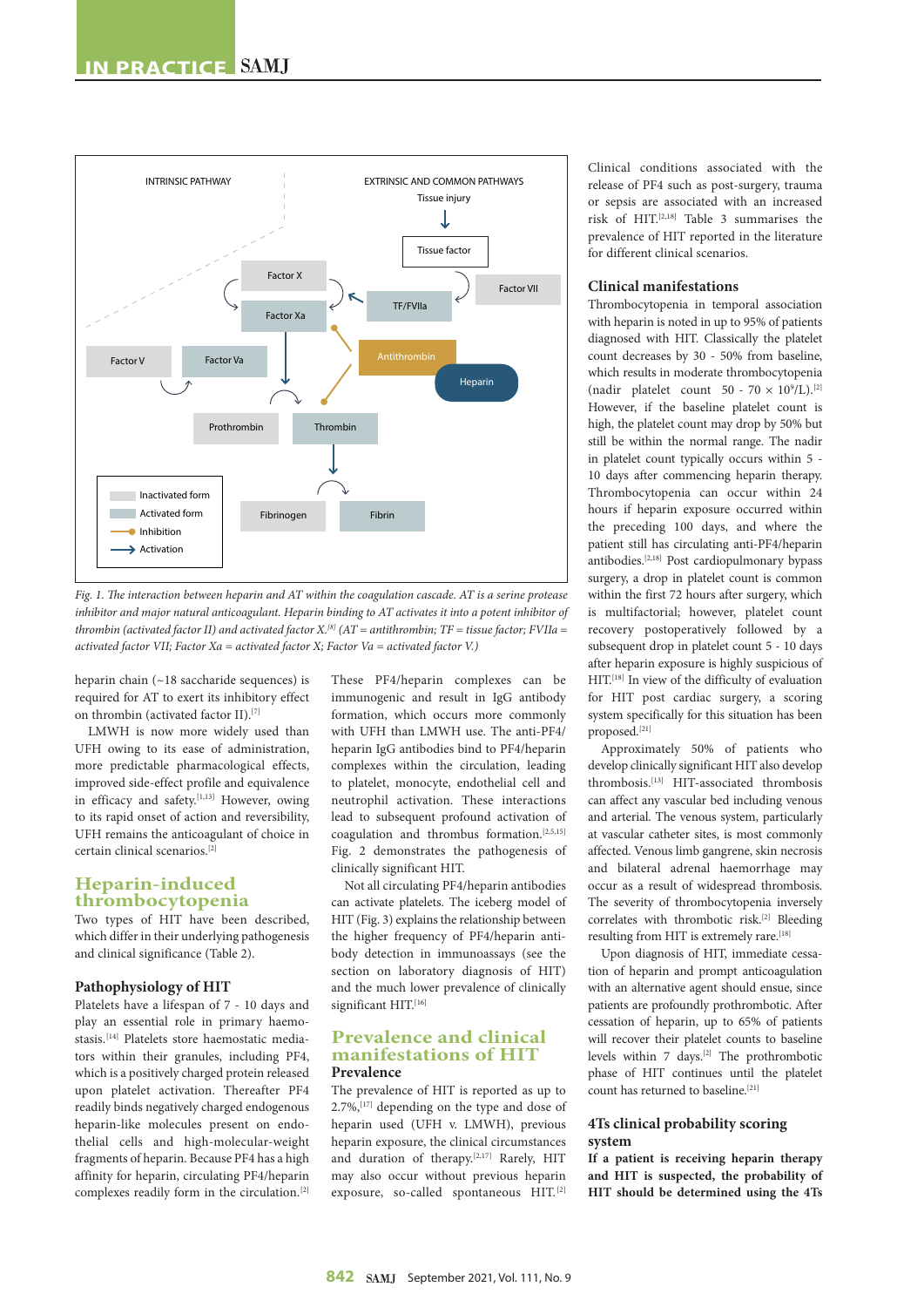

*Fig. 1. The interaction between heparin and AT within the coagulation cascade. AT is a serine protease inhibitor and major natural anticoagulant. Heparin binding to AT activates it into a potent inhibitor of thrombin (activated factor II) and activated factor X.[8] (AT = antithrombin; TF = tissue factor; FVIIa = activated factor VII; Factor Xa = activated factor X; Factor Va = activated factor V.)*

heparin chain (~18 saccharide sequences) is required for AT to exert its inhibitory effect on thrombin (activated factor II).[7]

LMWH is now more widely used than UFH owing to its ease of administration, more predictable pharmacological effects, improved side-effect profile and equivalence in efficacy and safety.<sup>[1,13]</sup> However, owing to its rapid onset of action and reversibility, UFH remains the anticoagulant of choice in certain clinical scenarios.[2]

# **Heparin-induced thrombocytopenia**

Two types of HIT have been described, which differ in their underlying pathogenesis and clinical significance (Table 2).

## **Pathophysiology of HIT**

Platelets have a lifespan of 7 - 10 days and play an essential role in primary haemostasis.[14] Platelets store haemostatic mediators within their granules, including PF4, which is a positively charged protein released upon platelet activation. Thereafter PF4 readily binds negatively charged endogenous heparin-like molecules present on endothelial cells and high-molecular-weight fragments of heparin. Because PF4 has a high affinity for heparin, circulating PF4/heparin complexes readily form in the circulation.[2]

These PF4/heparin complexes can be immunogenic and result in IgG antibody formation, which occurs more commonly with UFH than LMWH use. The anti-PF4/ heparin IgG antibodies bind to PF4/heparin complexes within the circulation, leading to platelet, monocyte, endothelial cell and neutrophil activation. These interactions lead to subsequent profound activation of coagulation and thrombus formation.[2,5,15] Fig. 2 demonstrates the pathogenesis of clinically significant HIT.

Not all circulating PF4/heparin antibodies can activate platelets. The iceberg model of HIT (Fig. 3) explains the relationship between the higher frequency of PF4/heparin antibody detection in immunoassays (see the section on laboratory diagnosis of HIT) and the much lower prevalence of clinically significant HIT.[16]

# **Prevalence and clinical manifestations of HIT Prevalence**

The prevalence of HIT is reported as up to 2.7%,[17] depending on the type and dose of heparin used (UFH v. LMWH), previous heparin exposure, the clinical circumstances and duration of therapy.[2,17] Rarely, HIT may also occur without previous heparin exposure, so-called spontaneous HIT.[2]

Clinical conditions associated with the release of PF4 such as post-surgery, trauma or sepsis are associated with an increased risk of HIT.[2,18] Table 3 summarises the prevalence of HIT reported in the literature for different clinical scenarios.

## **Clinical manifestations**

Thrombocytopenia in temporal association with heparin is noted in up to 95% of patients diagnosed with HIT. Classically the platelet count decreases by 30 - 50% from baseline, which results in moderate thrombocytopenia (nadir platelet count  $50 - 70 \times 10^9$ /L).<sup>[2]</sup> However, if the baseline platelet count is high, the platelet count may drop by 50% but still be within the normal range. The nadir in platelet count typically occurs within 5 - 10 days after commencing heparin therapy. Thrombocytopenia can occur within 24 hours if heparin exposure occurred within the preceding 100 days, and where the patient still has circulating anti-PF4/heparin antibodies.[2,18] Post cardiopulmonary bypass surgery, a drop in platelet count is common within the first 72 hours after surgery, which is multifactorial; however, platelet count recovery postoperatively followed by a subsequent drop in platelet count 5 - 10 days after heparin exposure is highly suspicious of HIT.[18] In view of the difficulty of evaluation for HIT post cardiac surgery, a scoring system specifically for this situation has been proposed.[21]

Approximately 50% of patients who develop clinically significant HIT also develop thrombosis.[13] HIT-associated thrombosis can affect any vascular bed including venous and arterial. The venous system, particularly at vascular catheter sites, is most commonly affected. Venous limb gangrene, skin necrosis and bilateral adrenal haemorrhage may occur as a result of widespread thrombosis. The severity of thrombocytopenia inversely correlates with thrombotic risk.[2] Bleeding resulting from HIT is extremely rare.<sup>[18]</sup>

Upon diagnosis of HIT, immediate cessation of heparin and prompt anticoagulation with an alternative agent should ensue, since patients are profoundly prothrombotic. After cessation of heparin, up to 65% of patients will recover their platelet counts to baseline levels within 7 days.[2] The prothrombotic phase of HIT continues until the platelet count has returned to baseline.[21]

# **4Ts clinical probability scoring system**

**If a patient is receiving heparin therapy and HIT is suspected, the probability of HIT should be determined using the 4Ts**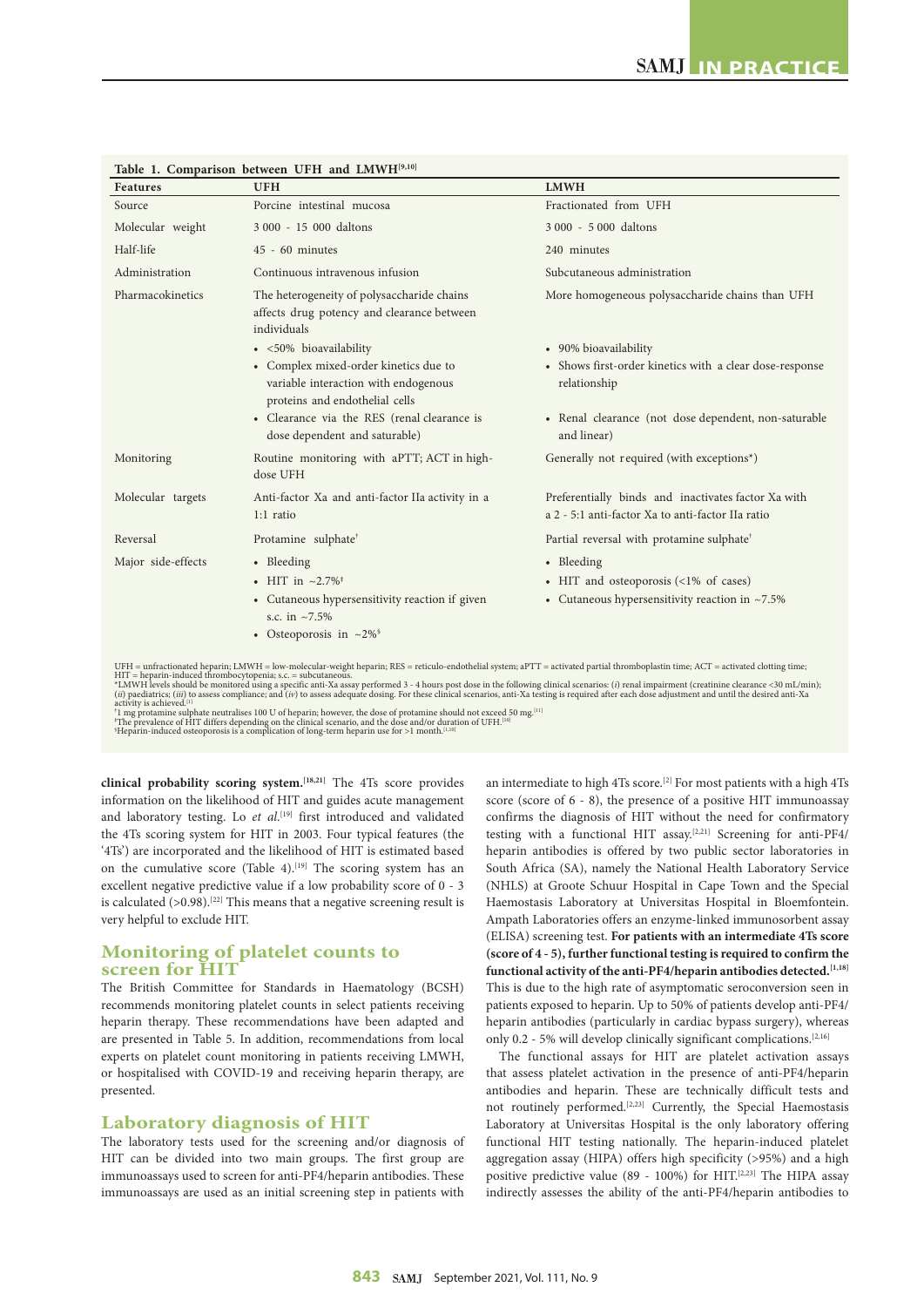| Porcine intestinal mucosa<br>3 000 - 15 000 daltons<br>$45 - 60$ minutes<br>Continuous intravenous infusion<br>The heterogeneity of polysaccharide chains<br>affects drug potency and clearance between<br>individuals<br>· <50% bioavailability<br>• Complex mixed-order kinetics due to<br>variable interaction with endogenous<br>proteins and endothelial cells<br>• Clearance via the RES (renal clearance is | Fractionated from UFH<br>3 000 - 5 000 daltons<br>240 minutes<br>Subcutaneous administration<br>More homogeneous polysaccharide chains than UFH<br>• 90% bioavailability<br>• Shows first-order kinetics with a clear dose-response<br>relationship<br>• Renal clearance (not dose dependent, non-saturable |
|--------------------------------------------------------------------------------------------------------------------------------------------------------------------------------------------------------------------------------------------------------------------------------------------------------------------------------------------------------------------------------------------------------------------|-------------------------------------------------------------------------------------------------------------------------------------------------------------------------------------------------------------------------------------------------------------------------------------------------------------|
|                                                                                                                                                                                                                                                                                                                                                                                                                    |                                                                                                                                                                                                                                                                                                             |
|                                                                                                                                                                                                                                                                                                                                                                                                                    |                                                                                                                                                                                                                                                                                                             |
|                                                                                                                                                                                                                                                                                                                                                                                                                    |                                                                                                                                                                                                                                                                                                             |
|                                                                                                                                                                                                                                                                                                                                                                                                                    |                                                                                                                                                                                                                                                                                                             |
|                                                                                                                                                                                                                                                                                                                                                                                                                    |                                                                                                                                                                                                                                                                                                             |
|                                                                                                                                                                                                                                                                                                                                                                                                                    |                                                                                                                                                                                                                                                                                                             |
|                                                                                                                                                                                                                                                                                                                                                                                                                    |                                                                                                                                                                                                                                                                                                             |
| dose dependent and saturable)                                                                                                                                                                                                                                                                                                                                                                                      | and linear)                                                                                                                                                                                                                                                                                                 |
| Routine monitoring with aPTT; ACT in high-<br>dose UFH                                                                                                                                                                                                                                                                                                                                                             | Generally not required (with exceptions*)                                                                                                                                                                                                                                                                   |
| Anti-factor Xa and anti-factor IIa activity in a<br>1:1 ratio                                                                                                                                                                                                                                                                                                                                                      | Preferentially binds and inactivates factor Xa with<br>a 2 - 5:1 anti-factor Xa to anti-factor IIa ratio                                                                                                                                                                                                    |
| Protamine sulphate <sup>†</sup>                                                                                                                                                                                                                                                                                                                                                                                    | Partial reversal with protamine sulphate <sup>†</sup>                                                                                                                                                                                                                                                       |
| • Bleeding                                                                                                                                                                                                                                                                                                                                                                                                         | • Bleeding                                                                                                                                                                                                                                                                                                  |
| • HIT in $\sim 2.7\%$ <sup>‡</sup>                                                                                                                                                                                                                                                                                                                                                                                 | • HIT and osteoporosis (<1% of cases)                                                                                                                                                                                                                                                                       |
| • Cutaneous hypersensitivity reaction if given<br>s.c. in $\approx 7.5\%$                                                                                                                                                                                                                                                                                                                                          | • Cutaneous hypersensitivity reaction in $~1.5\%$                                                                                                                                                                                                                                                           |
| • Osteoporosis in $\approx 2\%$ <sup>§</sup>                                                                                                                                                                                                                                                                                                                                                                       |                                                                                                                                                                                                                                                                                                             |
| *I MWH levels should be monitored using a specific anti-Xa assay performed 3 - 4 hours post dose in the following clinical scenarios: (i) renal impairment (creatinine clearance <30 mJ/min);                                                                                                                                                                                                                      | UFH = unfractionated heparin; LMWH = low-molecular-weight heparin; RES = reticulo-endothelial system; aPTT = activated partial thromboplastin time; ACT = activated clotting time;<br>$HIT$ = heparin-induced thrombocytopenia; s.c. = subcutaneous.                                                        |

**Table 1. Comparison between UFH and LMWH[9,10]**

\*LMWH levels should be monitored using a specific anti-Xa assay performed 3 - 4 hours post dose in the following clinical scenarios: (i) renal impairment (creatinine clearance <30 mL/min);<br>(*ii*) paediatrics; (*iii*) to as

activity is achieved.<sup>[1]</sup><br>'1 mg protamine sulphate neutralises 100 U of heparin; however, the dose of protamine should not exceed 50 mg.<sup>[11]</sup><br>'The prevalence of HIT differs depending on the clinical scenario, and the dos

**clinical probability scoring system.[18,21]** The 4Ts score provides information on the likelihood of HIT and guides acute management and laboratory testing. Lo *et al*. [19] first introduced and validated the 4Ts scoring system for HIT in 2003. Four typical features (the '4Ts') are incorporated and the likelihood of HIT is estimated based on the cumulative score (Table 4).<sup>[19]</sup> The scoring system has an excellent negative predictive value if a low probability score of 0 - 3 is calculated  $(>0.98)$ .<sup>[22]</sup> This means that a negative screening result is very helpful to exclude HIT.

# **Monitoring of platelet counts to screen for HIT**

The British Committee for Standards in Haematology (BCSH) recommends monitoring platelet counts in select patients receiving heparin therapy. These recommendations have been adapted and are presented in Table 5. In addition, recommendations from local experts on platelet count monitoring in patients receiving LMWH, or hospitalised with COVID-19 and receiving heparin therapy, are presented.

# **Laboratory diagnosis of HIT**

The laboratory tests used for the screening and/or diagnosis of HIT can be divided into two main groups. The first group are immunoassays used to screen for anti-PF4/heparin antibodies. These immunoassays are used as an initial screening step in patients with

an intermediate to high 4Ts score.[2] For most patients with a high 4Ts score (score of 6 - 8), the presence of a positive HIT immunoassay confirms the diagnosis of HIT without the need for confirmatory testing with a functional HIT assay.<sup>[2,21]</sup> Screening for anti-PF4/ heparin antibodies is offered by two public sector laboratories in South Africa (SA), namely the National Health Laboratory Service (NHLS) at Groote Schuur Hospital in Cape Town and the Special Haemostasis Laboratory at Universitas Hospital in Bloemfontein. Ampath Laboratories offers an enzyme-linked immunosorbent assay (ELISA) screening test. **For patients with an intermediate 4Ts score (score of 4 - 5), further functional testing is required to confirm the functional activity of the anti-PF4/heparin antibodies detected.[1,18]** This is due to the high rate of asymptomatic seroconversion seen in patients exposed to heparin. Up to 50% of patients develop anti-PF4/ heparin antibodies (particularly in cardiac bypass surgery), whereas only 0.2 - 5% will develop clinically significant complications.<sup>[2,16]</sup>

The functional assays for HIT are platelet activation assays that assess platelet activation in the presence of anti-PF4/heparin antibodies and heparin. These are technically difficult tests and not routinely performed.[2,23] Currently, the Special Haemostasis Laboratory at Universitas Hospital is the only laboratory offering functional HIT testing nationally. The heparin-induced platelet aggregation assay (HIPA) offers high specificity (>95%) and a high positive predictive value (89 - 100%) for HIT.<sup>[2,23]</sup> The HIPA assay indirectly assesses the ability of the anti-PF4/heparin antibodies to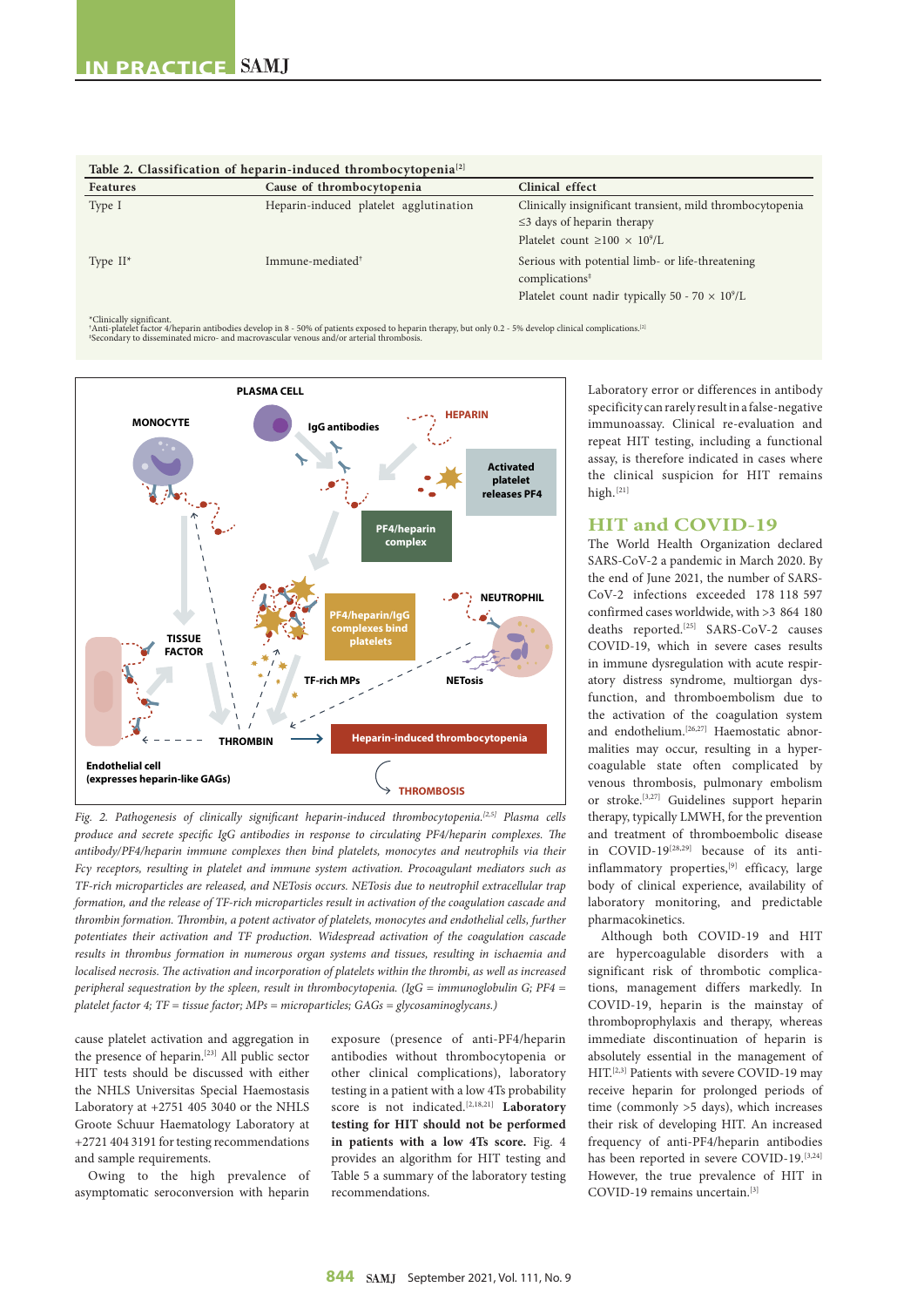| Features    | Cause of thrombocytopenia              | Clinical effect                                                                                                                                      |
|-------------|----------------------------------------|------------------------------------------------------------------------------------------------------------------------------------------------------|
| Type I      | Heparin-induced platelet agglutination | Clinically insignificant transient, mild thrombocytopenia                                                                                            |
|             |                                        | $\leq$ 3 days of heparin therapy                                                                                                                     |
|             |                                        | Platelet count $\geq 100 \times 10^9$ /L                                                                                                             |
| Type $II^*$ | Immune-mediated <sup>†</sup>           | Serious with potential limb- or life-threatening<br>complications <sup>‡</sup><br>Platelet count nadir typically 50 - 70 $\times$ 10 <sup>9</sup> /L |

| Table 2. Classification of heparin-induced thrombocytopenia <sup>[2]</sup> |  |
|----------------------------------------------------------------------------|--|
|----------------------------------------------------------------------------|--|

\*Clinically significant.

\*Anti-platelet factor 4/heparin antibodies develop in 8 - 50% of patients exposed to heparin therapy, but only 0.2 - 5% develop clinical complications.[2]<br>\*Secondary to disseminated micro- and macrovascular venous and/or a



*Fig. 2. Pathogenesis of clinically significant heparin-induced thrombocytopenia.[2,5] Plasma cells produce and secrete specific IgG antibodies in response to circulating PF4/heparin complexes. The antibody/PF4/heparin immune complexes then bind platelets, monocytes and neutrophils via their Fcγ receptors, resulting in platelet and immune system activation. Procoagulant mediators such as TF-rich microparticles are released, and NETosis occurs. NETosis due to neutrophil extracellular trap formation, and the release of TF-rich microparticles result in activation of the coagulation cascade and thrombin formation. Thrombin, a potent activator of platelets, monocytes and endothelial cells, further potentiates their activation and TF production. Widespread activation of the coagulation cascade results in thrombus formation in numerous organ systems and tissues, resulting in ischaemia and localised necrosis. The activation and incorporation of platelets within the thrombi, as well as increased peripheral sequestration by the spleen, result in thrombocytopenia. (IgG = immunoglobulin G; PF4 = platelet factor 4; TF = tissue factor; MPs = microparticles; GAGs = glycosaminoglycans.)*

cause platelet activation and aggregation in the presence of heparin.[23] All public sector HIT tests should be discussed with either the NHLS Universitas Special Haemostasis Laboratory at +2751 405 3040 or the NHLS Groote Schuur Haematology Laboratory at +2721 404 3191 for testing recommendations and sample requirements.

Owing to the high prevalence of asymptomatic seroconversion with heparin exposure (presence of anti-PF4/heparin antibodies without thrombocytopenia or other clinical complications), laboratory testing in a patient with a low 4Ts probability score is not indicated.[2,18,21] **Laboratory testing for HIT should not be performed in patients with a low 4Ts score.** Fig. 4 provides an algorithm for HIT testing and Table 5 a summary of the laboratory testing recommendations.

Laboratory error or differences in antibody specificity can rarely result in a false-negative immunoassay. Clinical re-evaluation and repeat HIT testing, including a functional assay, is therefore indicated in cases where the clinical suspicion for HIT remains high.[21]

# **HIT and COVID-19**

The World Health Organization declared SARS-CoV-2 a pandemic in March 2020. By the end of June 2021, the number of SARS-CoV-2 infections exceeded 178 118 597 confirmed cases worldwide, with >3 864 180 deaths reported.[25] SARS-CoV-2 causes COVID-19, which in severe cases results in immune dysregulation with acute respiratory distress syndrome, multiorgan dysfunction, and thromboembolism due to the activation of the coagulation system and endothelium.<sup>[26,27]</sup> Haemostatic abnormalities may occur, resulting in a hypercoagulable state often complicated by venous thrombosis, pulmonary embolism or stroke.[3,27] Guidelines support heparin therapy, typically LMWH, for the prevention and treatment of thromboembolic disease in COVID-19[28,29] because of its antiinflammatory properties,<sup>[9]</sup> efficacy, large body of clinical experience, availability of laboratory monitoring, and predictable pharmacokinetics.

Although both COVID-19 and HIT are hypercoagulable disorders with a significant risk of thrombotic complications, management differs markedly. In COVID-19, heparin is the mainstay of thromboprophylaxis and therapy, whereas immediate discontinuation of heparin is absolutely essential in the management of HIT.[2,3] Patients with severe COVID-19 may receive heparin for prolonged periods of time (commonly >5 days), which increases their risk of developing HIT. An increased frequency of anti-PF4/heparin antibodies has been reported in severe COVID-19.<sup>[3,24]</sup> However, the true prevalence of HIT in COVID-19 remains uncertain.[3]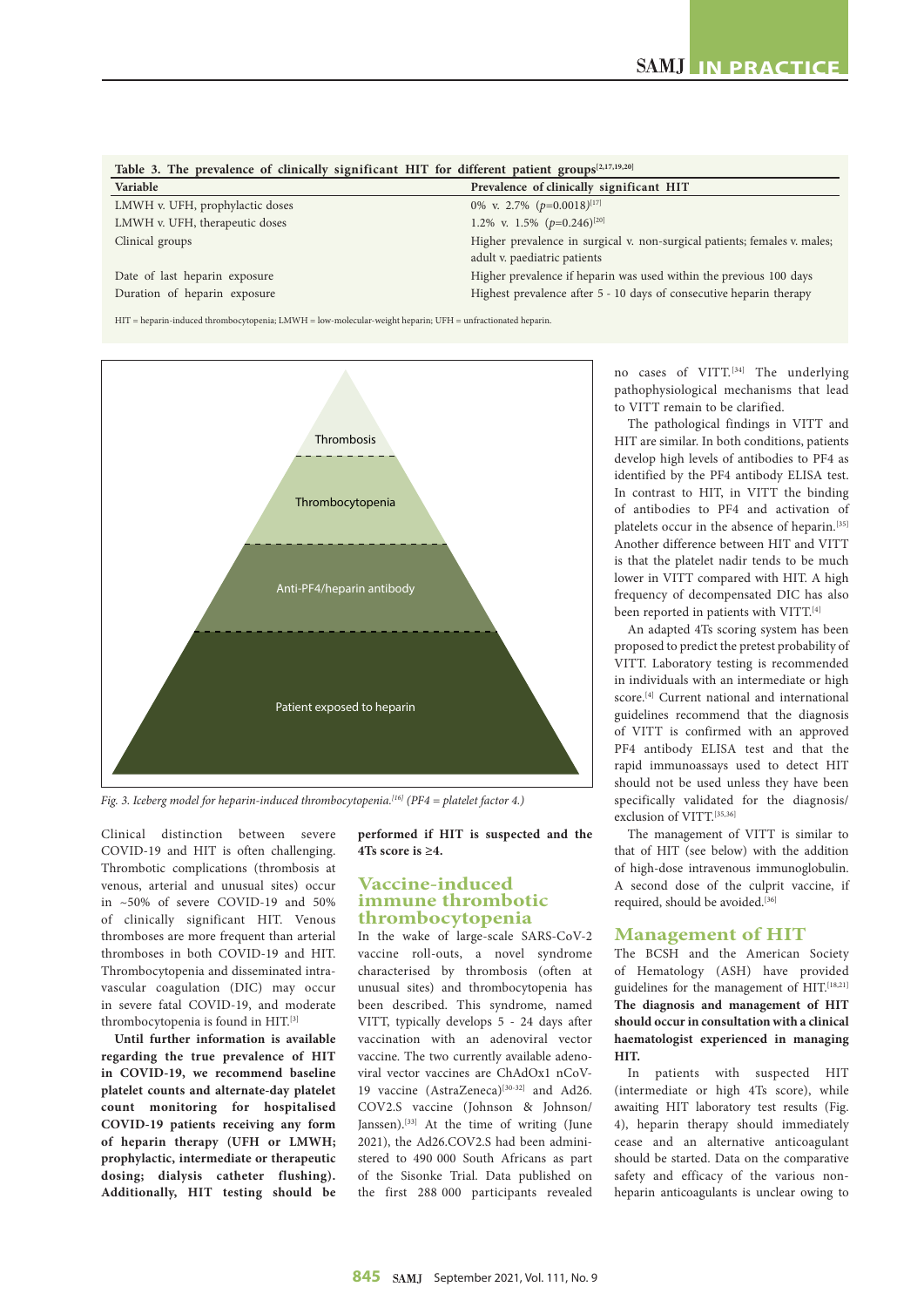| Table 3. The prevalence of clinically significant HIT for different patient groups $[2,17,19,20]$ |                                                                           |  |  |
|---------------------------------------------------------------------------------------------------|---------------------------------------------------------------------------|--|--|
| Variable                                                                                          | Prevalence of clinically significant HIT                                  |  |  |
| LMWH v. UFH, prophylactic doses                                                                   | 0% v. 2.7% $(p=0.0018)^{[17]}$                                            |  |  |
| LMWH v. UFH, therapeutic doses                                                                    | 1.2% v. 1.5% $(p=0.246)^{[20]}$                                           |  |  |
| Clinical groups                                                                                   | Higher prevalence in surgical v. non-surgical patients; females v. males; |  |  |
|                                                                                                   | adult v. paediatric patients                                              |  |  |
| Date of last heparin exposure                                                                     | Higher prevalence if heparin was used within the previous 100 days        |  |  |
| Duration of heparin exposure                                                                      | Highest prevalence after 5 - 10 days of consecutive heparin therapy       |  |  |
|                                                                                                   |                                                                           |  |  |

HIT = heparin-induced thrombocytopenia; LMWH = low-molecular-weight heparin; UFH = unfractionated heparin.



*Fig. 3. Iceberg model for heparin-induced thrombocytopenia.[16] (PF4 = platelet factor 4.)*

Clinical distinction between severe COVID-19 and HIT is often challenging. Thrombotic complications (thrombosis at venous, arterial and unusual sites) occur in ~50% of severe COVID-19 and 50% of clinically significant HIT. Venous thromboses are more frequent than arterial thromboses in both COVID-19 and HIT. Thrombocytopenia and disseminated intravascular coagulation (DIC) may occur in severe fatal COVID-19, and moderate thrombocytopenia is found in HIT.[3]

**Until further information is available regarding the true prevalence of HIT in COVID-19, we recommend baseline platelet counts and alternate-day platelet count monitoring for hospitalised COVID-19 patients receiving any form of heparin therapy (UFH or LMWH; prophylactic, intermediate or therapeutic dosing; dialysis catheter flushing). Additionally, HIT testing should be**  **performed if HIT is suspected and the 4Ts score is ≥4.**

# **Vaccine-induced immune thrombotic thrombocytopenia**

In the wake of large-scale SARS-CoV-2 vaccine roll-outs, a novel syndrome characterised by thrombosis (often at unusual sites) and thrombocytopenia has been described. This syndrome, named VITT, typically develops 5 - 24 days after vaccination with an adenoviral vector vaccine. The two currently available adenoviral vector vaccines are ChAdOx1 nCoV-19 vaccine (AstraZeneca)<sup>[30-32]</sup> and Ad26. COV2.S vaccine (Johnson & Johnson/ Janssen).[33] At the time of writing (June 2021), the Ad26.COV2.S had been administered to 490 000 South Africans as part of the Sisonke Trial. Data published on the first 288 000 participants revealed

no cases of VITT.<sup>[34]</sup> The underlying pathophysiological mechanisms that lead to VITT remain to be clarified.

The pathological findings in VITT and HIT are similar. In both conditions, patients develop high levels of antibodies to PF4 as identified by the PF4 antibody ELISA test. In contrast to HIT, in VITT the binding of antibodies to PF4 and activation of platelets occur in the absence of heparin.[35] Another difference between HIT and VITT is that the platelet nadir tends to be much lower in VITT compared with HIT. A high frequency of decompensated DIC has also been reported in patients with VITT.[4]

An adapted 4Ts scoring system has been proposed to predict the pretest probability of VITT. Laboratory testing is recommended in individuals with an intermediate or high score.[4] Current national and international guidelines recommend that the diagnosis of VITT is confirmed with an approved PF4 antibody ELISA test and that the rapid immunoassays used to detect HIT should not be used unless they have been specifically validated for the diagnosis/ exclusion of VITT.[35,36]

The management of VITT is similar to that of HIT (see below) with the addition of high-dose intravenous immunoglobulin. A second dose of the culprit vaccine, if required, should be avoided.<sup>[36]</sup>

## **Management of HIT**

The BCSH and the American Society of Hematology (ASH) have provided guidelines for the management of HIT.<sup>[18,21]</sup> **The diagnosis and management of HIT should occur in consultation with a clinical haematologist experienced in managing HIT.**

In patients with suspected HIT (intermediate or high 4Ts score), while awaiting HIT laboratory test results (Fig. 4), heparin therapy should immediately cease and an alternative anticoagulant should be started. Data on the comparative safety and efficacy of the various nonheparin anticoagulants is unclear owing to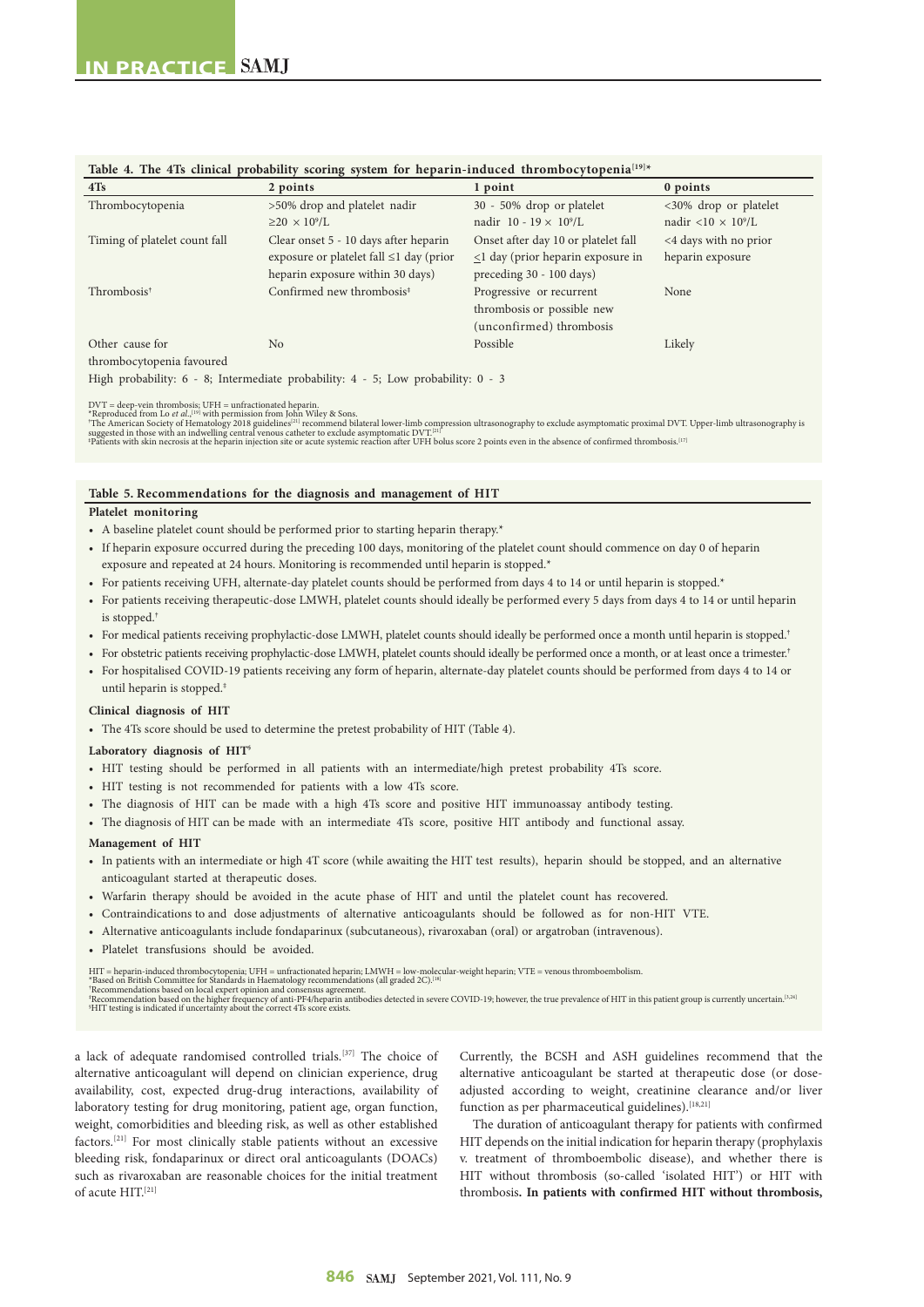| 4Ts                           | 2 points                                      | 1 point                                   | 0 points                              |
|-------------------------------|-----------------------------------------------|-------------------------------------------|---------------------------------------|
| Thrombocytopenia              | >50% drop and platelet nadir                  | 30 - 50% drop or platelet                 | <30% drop or platelet                 |
|                               | $\geq$ 20 $\times$ 10 <sup>9</sup> /L         | nadir 10 - 19 $\times$ 10 <sup>9</sup> /L | nadir <10 $\times$ 10 <sup>9</sup> /L |
| Timing of platelet count fall | Clear onset 5 - 10 days after heparin         | Onset after day 10 or platelet fall       | <4 days with no prior                 |
|                               | exposure or platelet fall $\leq 1$ day (prior | $\leq$ 1 day (prior heparin exposure in   | heparin exposure                      |
|                               | heparin exposure within 30 days)              | preceding 30 - 100 days)                  |                                       |
| Thrombosis <sup>†</sup>       | Confirmed new thrombosis <sup>‡</sup>         | Progressive or recurrent                  | None                                  |
|                               |                                               | thrombosis or possible new                |                                       |
|                               |                                               | (unconfirmed) thrombosis                  |                                       |
| Other cause for               | N <sub>0</sub>                                | Possible                                  | Likely                                |
| thrombocytopenia favoured     |                                               |                                           |                                       |

#### **Table 4. The 4Ts clinical probability scoring system for heparin-induced thrombocytopenia[19]\***

DVT = deep-vein thrombosis; UFH = unfractionated heparin.<br>\*Reproduced from Lo *et al.,*l<sup>ug</sup> with permission from John Wiley & Sons.<br>\*The American Society of Hematology 2018 guidelines<sup>[21]</sup> recommend bilateral lower-limb

#### **Table 5. Recommendations for the diagnosis and management of HIT**

High probability: 6 - 8; Intermediate probability: 4 - 5; Low probability: 0 - 3

#### **Platelet monitoring**

- A baseline platelet count should be performed prior to starting heparin therapy.\*
- If heparin exposure occurred during the preceding 100 days, monitoring of the platelet count should commence on day 0 of heparin exposure and repeated at 24 hours. Monitoring is recommended until heparin is stopped.\*
- For patients receiving UFH, alternate-day platelet counts should be performed from days 4 to 14 or until heparin is stopped.\*
- For patients receiving therapeutic-dose LMWH, platelet counts should ideally be performed every 5 days from days 4 to 14 or until heparin is stopped.
- For medical patients receiving prophylactic-dose LMWH, platelet counts should ideally be performed once a month until heparin is stopped.<sup>†</sup>
- For obstetric patients receiving prophylactic-dose LMWH, platelet counts should ideally be performed once a month, or at least once a trimester.†
- For hospitalised COVID-19 patients receiving any form of heparin, alternate-day platelet counts should be performed from days 4 to 14 or until heparin is stopped.‡

#### **Clinical diagnosis of HIT**

• The 4Ts score should be used to determine the pretest probability of HIT (Table 4).

#### **Laboratory diagnosis of HIT§**

- HIT testing should be performed in all patients with an intermediate/high pretest probability 4Ts score.
- HIT testing is not recommended for patients with a low 4Ts score.
- The diagnosis of HIT can be made with a high 4Ts score and positive HIT immunoassay antibody testing.
- The diagnosis of HIT can be made with an intermediate 4Ts score, positive HIT antibody and functional assay.

#### **Management of HIT**

- In patients with an intermediate or high 4T score (while awaiting the HIT test results), heparin should be stopped, and an alternative anticoagulant started at therapeutic doses.
- Warfarin therapy should be avoided in the acute phase of HIT and until the platelet count has recovered.
- Contraindications to and dose adjustments of alternative anticoagulants should be followed as for non-HIT VTE.
- Alternative anticoagulants include fondaparinux (subcutaneous), rivaroxaban (oral) or argatroban (intravenous).
- Platelet transfusions should be avoided.

HIT = heparin-induced thrombocytopenia; UFH = unfractionated heparin; LMWH = low-molecular-weight heparin; VTE = venous thromboembolism.<br>\*Based on British Committee for Standards in Haematology recommendations (all graded

\*Based on British Committee for Standards in Haematology recommendations (all graded 2C).<sup>[18]</sup><br>'Recommendation based on local expert opinion and consensus agreement.<br>'Recommendation based on the higher frequency of anti-P

a lack of adequate randomised controlled trials.[37] The choice of alternative anticoagulant will depend on clinician experience, drug availability, cost, expected drug-drug interactions, availability of laboratory testing for drug monitoring, patient age, organ function, weight, comorbidities and bleeding risk, as well as other established factors.[21] For most clinically stable patients without an excessive bleeding risk, fondaparinux or direct oral anticoagulants (DOACs) such as rivaroxaban are reasonable choices for the initial treatment of acute HIT.[21]

Currently, the BCSH and ASH guidelines recommend that the alternative anticoagulant be started at therapeutic dose (or doseadjusted according to weight, creatinine clearance and/or liver function as per pharmaceutical guidelines).<sup>[18,21]</sup>

The duration of anticoagulant therapy for patients with confirmed HIT depends on the initial indication for heparin therapy (prophylaxis v. treatment of thromboembolic disease), and whether there is HIT without thrombosis (so-called 'isolated HIT') or HIT with thrombosis**. In patients with confirmed HIT without thrombosis,**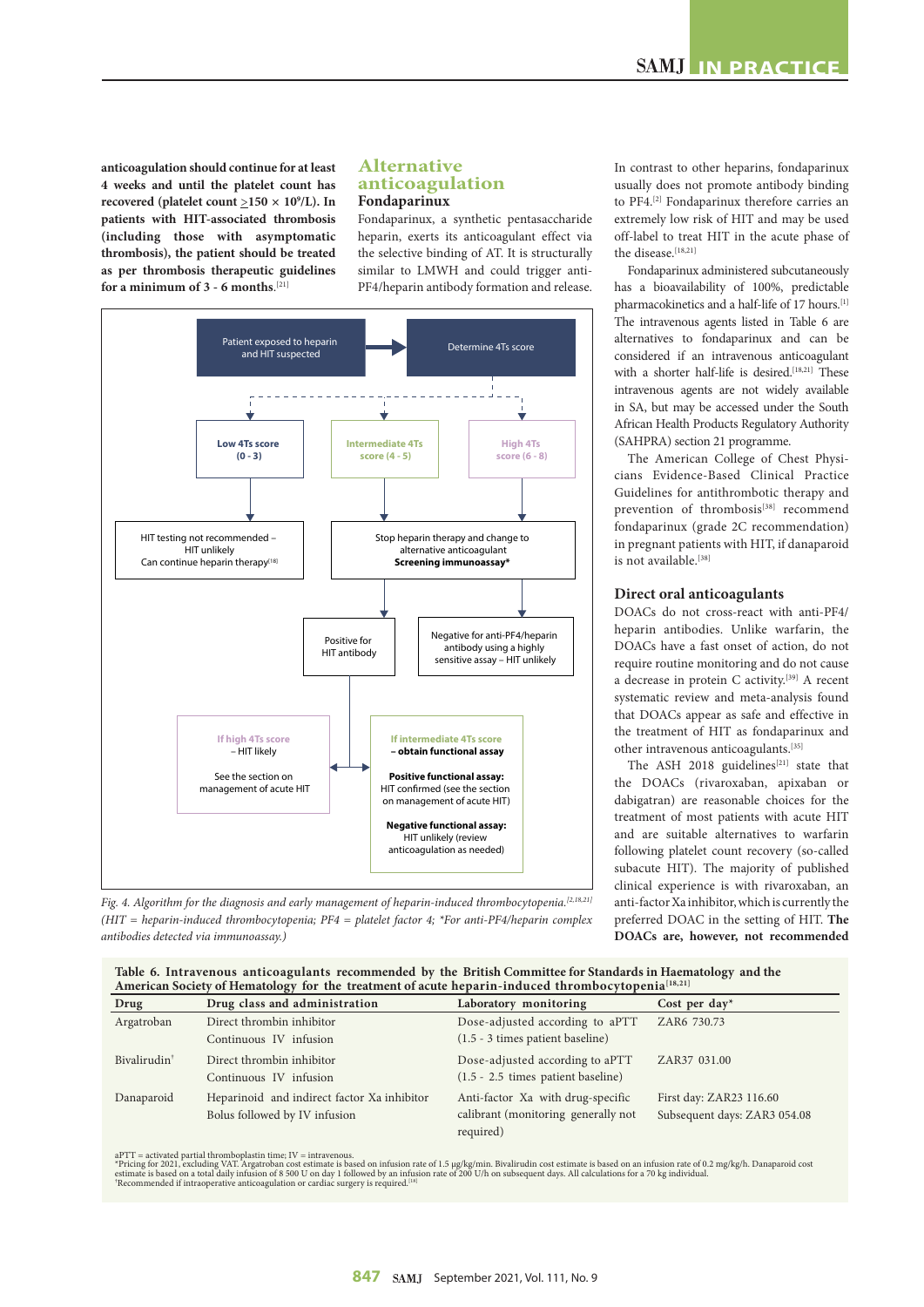**anticoagulation should continue for at least 4 weeks and until the platelet count has recovered** (platelet count  $\geq$ 150  $\times$  10<sup>9</sup>/L). In **patients with HIT-associated thrombosis (including those with asymptomatic thrombosis), the patient should be treated as per thrombosis therapeutic guidelines for a minimum of 3 - 6 months**. [21]

# **Alternative anticoagulation Fondaparinux**

Fondaparinux, a synthetic pentasaccharide heparin, exerts its anticoagulant effect via the selective binding of AT. It is structurally similar to LMWH and could trigger anti-PF4/heparin antibody formation and release.



*Fig. 4. Algorithm for the diagnosis and early management of heparin-induced thrombocytopenia.[2,18,21] (HIT = heparin-induced thrombocytopenia; PF4 = platelet factor 4; \*For anti-PF4/heparin complex antibodies detected via immunoassay.)*

In contrast to other heparins, fondaparinux usually does not promote antibody binding to PF4.<sup>[2]</sup> Fondaparinux therefore carries an extremely low risk of HIT and may be used off-label to treat HIT in the acute phase of the disease.<sup>[18,21]</sup>

Fondaparinux administered subcutaneously has a bioavailability of 100%, predictable pharmacokinetics and a half-life of 17 hours.[1] The intravenous agents listed in Table 6 are alternatives to fondaparinux and can be considered if an intravenous anticoagulant with a shorter half-life is desired.<sup>[18,21]</sup> These intravenous agents are not widely available in SA, but may be accessed under the South African Health Products Regulatory Authority (SAHPRA) section 21 programme.

The American College of Chest Physicians Evidence-Based Clinical Practice Guidelines for antithrombotic therapy and prevention of thrombosis<sup>[38]</sup> recommend fondaparinux (grade 2C recommendation) in pregnant patients with HIT, if danaparoid is not available.<sup>[38]</sup>

## **Direct oral anticoagulants**

DOACs do not cross-react with anti-PF4/ heparin antibodies. Unlike warfarin, the DOACs have a fast onset of action, do not require routine monitoring and do not cause a decrease in protein C activity.[39] A recent systematic review and meta-analysis found that DOACs appear as safe and effective in the treatment of HIT as fondaparinux and other intravenous anticoagulants.[35]

The ASH 2018 guidelines<sup>[21]</sup> state that the DOACs (rivaroxaban, apixaban or dabigatran) are reasonable choices for the treatment of most patients with acute HIT and are suitable alternatives to warfarin following platelet count recovery (so-called subacute HIT). The majority of published clinical experience is with rivaroxaban, an anti-factor Xa inhibitor, which is currently the preferred DOAC in the setting of HIT. **The DOACs are, however, not recommended** 

**Table 6. Intravenous anticoagulants recommended by the British Committee for Standards in Haematology and the**  American Society of Hematology for the treatment of acute heparin-induced thrombocytopenia<sup>[18,21</sup>]

| Drug                     | Drug class and administration                       | Laboratory monitoring                                                   | Cost per day*                |
|--------------------------|-----------------------------------------------------|-------------------------------------------------------------------------|------------------------------|
| Argatroban               | Direct thrombin inhibitor                           | Dose-adjusted according to aPTT                                         | ZAR6 730.73                  |
|                          | Continuous IV infusion                              | (1.5 - 3 times patient baseline)                                        |                              |
| Bivalirudin <sup>+</sup> | Direct thrombin inhibitor<br>Continuous IV infusion | Dose-adjusted according to aPTT<br>$(1.5 - 2.5$ times patient baseline) | ZAR37 031.00                 |
|                          |                                                     |                                                                         |                              |
| Danaparoid               | Heparinoid and indirect factor Xa inhibitor         | Anti-factor Xa with drug-specific                                       | First day: ZAR23 116.60      |
|                          | Bolus followed by IV infusion                       | calibrant (monitoring generally not                                     | Subsequent days: ZAR3 054.08 |
|                          |                                                     | required)                                                               |                              |

aPTT = activated partial thromboplastin time; IV = intravenous.<br>\*Pricing for 2021, excluding VAT. Argatroban cost estimate is based on infusion rate of 1.5 µg/kg/min. Bivalirudin cost estimate is based on an infusion rate